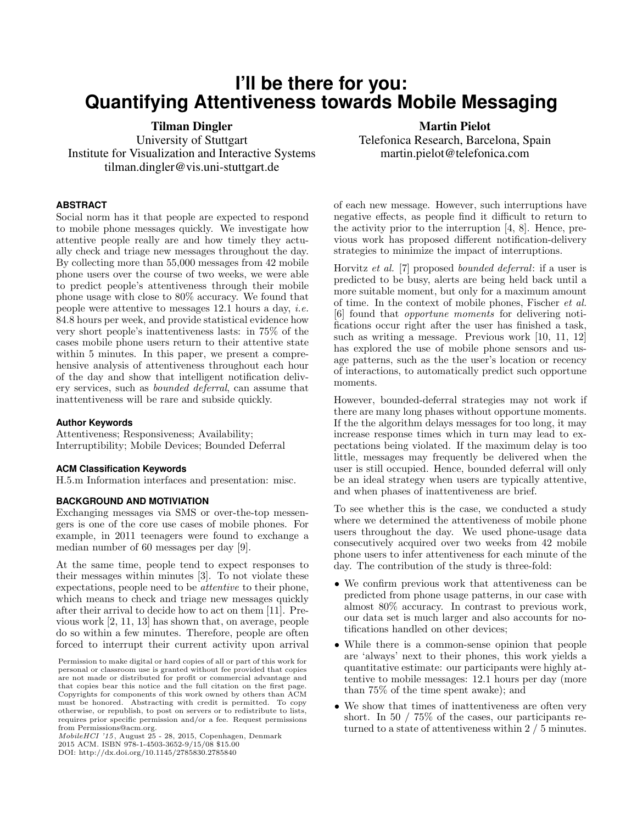# **I'll be there for you: Quantifying Attentiveness towards Mobile Messaging**

Tilman Dingler University of Stuttgart Institute for Visualization and Interactive Systems tilman.dingler@vis.uni-stuttgart.de

**ABSTRACT**

Social norm has it that people are expected to respond to mobile phone messages quickly. We investigate how attentive people really are and how timely they actually check and triage new messages throughout the day. By collecting more than 55,000 messages from 42 mobile phone users over the course of two weeks, we were able to predict people's attentiveness through their mobile phone usage with close to 80% accuracy. We found that people were attentive to messages 12.1 hours a day, i.e. 84.8 hours per week, and provide statistical evidence how very short people's inattentiveness lasts: in 75% of the cases mobile phone users return to their attentive state within 5 minutes. In this paper, we present a comprehensive analysis of attentiveness throughout each hour of the day and show that intelligent notification delivery services, such as bounded deferral, can assume that inattentiveness will be rare and subside quickly.

### **Author Keywords**

Attentiveness; Responsiveness; Availability; Interruptibility; Mobile Devices; Bounded Deferral

#### **ACM Classification Keywords**

H.5.m Information interfaces and presentation: misc.

### **BACKGROUND AND MOTIVIATION**

Exchanging messages via SMS or over-the-top messengers is one of the core use cases of mobile phones. For example, in 2011 teenagers were found to exchange a median number of 60 messages per day [\[9\]](#page-4-0).

At the same time, people tend to expect responses to their messages within minutes [\[3\]](#page-4-1). To not violate these expectations, people need to be attentive to their phone, which means to check and triage new messages quickly after their arrival to decide how to act on them [\[11\]](#page-4-2). Previous work [\[2,](#page-4-3) [11,](#page-4-2) [13\]](#page-4-4) has shown that, on average, people do so within a few minutes. Therefore, people are often forced to interrupt their current activity upon arrival

Martin Pielot Telefonica Research, Barcelona, Spain martin.pielot@telefonica.com

of each new message. However, such interruptions have negative effects, as people find it difficult to return to the activity prior to the interruption [\[4,](#page-4-5) [8\]](#page-4-6). Hence, previous work has proposed different notification-delivery strategies to minimize the impact of interruptions.

Horvitz et al. [\[7\]](#page-4-7) proposed bounded deferral: if a user is predicted to be busy, alerts are being held back until a more suitable moment, but only for a maximum amount of time. In the context of mobile phones, Fischer et al. [\[6\]](#page-4-8) found that opportune moments for delivering notifications occur right after the user has finished a task, such as writing a message. Previous work [\[10,](#page-4-9) [11,](#page-4-2) [12\]](#page-4-10) has explored the use of mobile phone sensors and usage patterns, such as the the user's location or recency of interactions, to automatically predict such opportune moments.

However, bounded-deferral strategies may not work if there are many long phases without opportune moments. If the the algorithm delays messages for too long, it may increase response times which in turn may lead to expectations being violated. If the maximum delay is too little, messages may frequently be delivered when the user is still occupied. Hence, bounded deferral will only be an ideal strategy when users are typically attentive, and when phases of inattentiveness are brief.

To see whether this is the case, we conducted a study where we determined the attentiveness of mobile phone users throughout the day. We used phone-usage data consecutively acquired over two weeks from 42 mobile phone users to infer attentiveness for each minute of the day. The contribution of the study is three-fold:

- We confirm previous work that attentiveness can be predicted from phone usage patterns, in our case with almost 80% accuracy. In contrast to previous work, our data set is much larger and also accounts for notifications handled on other devices;
- While there is a common-sense opinion that people are 'always' next to their phones, this work yields a quantitative estimate: our participants were highly attentive to mobile messages: 12.1 hours per day (more than 75% of the time spent awake); and
- We show that times of inattentiveness are often very short. In 50 / 75% of the cases, our participants returned to a state of attentiveness within 2 / 5 minutes.

Permission to make digital or hard copies of all or part of this work for personal or classroom use is granted without fee provided that copies are not made or distributed for profit or commercial advantage and that copies bear this notice and the full citation on the first page. Copyrights for components of this work owned by others than ACM must be honored. Abstracting with credit is permitted. To copy otherwise, or republish, to post on servers or to redistribute to lists, requires prior specific permission and/or a fee. Request permissions from Permissions@acm.org.

MobileHCI '15, August 25 - 28, 2015, Copenhagen, Denmark 2015 ACM. ISBN 978-1-4503-3652-9/15/08 \$15.00

DOI: http://dx.doi.org/10.1145/2785830.2785840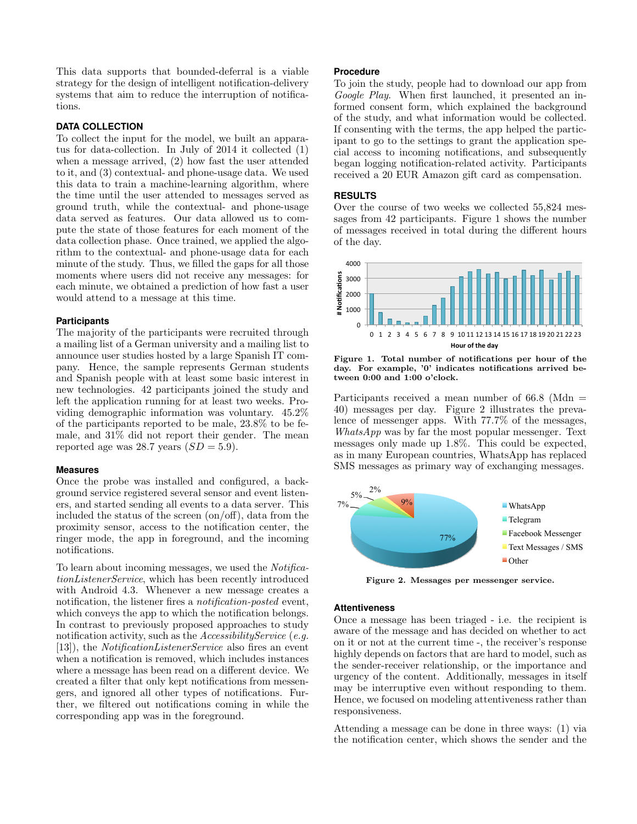This data supports that bounded-deferral is a viable strategy for the design of intelligent notification-delivery systems that aim to reduce the interruption of notifications.

## **DATA COLLECTION**

To collect the input for the model, we built an apparatus for data-collection. In July of 2014 it collected (1) when a message arrived, (2) how fast the user attended to it, and (3) contextual- and phone-usage data. We used this data to train a machine-learning algorithm, where the time until the user attended to messages served as ground truth, while the contextual- and phone-usage data served as features. Our data allowed us to compute the state of those features for each moment of the data collection phase. Once trained, we applied the algorithm to the contextual- and phone-usage data for each minute of the study. Thus, we filled the gaps for all those moments where users did not receive any messages: for each minute, we obtained a prediction of how fast a user would attend to a message at this time.

## **Participants**

The majority of the participants were recruited through a mailing list of a German university and a mailing list to announce user studies hosted by a large Spanish IT company. Hence, the sample represents German students and Spanish people with at least some basic interest in new technologies. 42 participants joined the study and left the application running for at least two weeks. Providing demographic information was voluntary. 45.2% of the participants reported to be male, 23.8% to be female, and 31% did not report their gender. The mean reported age was 28.7 years  $(SD = 5.9)$ .

#### **Measures**

Once the probe was installed and configured, a background service registered several sensor and event listeners, and started sending all events to a data server. This included the status of the screen (on/off), data from the proximity sensor, access to the notification center, the ringer mode, the app in foreground, and the incoming notifications.

To learn about incoming messages, we used the NotificationListenerService, which has been recently introduced with Android 4.3. Whenever a new message creates a notification, the listener fires a *notification-posted* event, which conveys the app to which the notification belongs. In contrast to previously proposed approaches to study notification activity, such as the *AccessibilityService* (e.g. [\[13\]](#page-4-4)), the NotificationListenerService also fires an event when a notification is removed, which includes instances where a message has been read on a different device. We created a filter that only kept notifications from messengers, and ignored all other types of notifications. Further, we filtered out notifications coming in while the corresponding app was in the foreground.

#### **Procedure**

To join the study, people had to download our app from Google Play. When first launched, it presented an informed consent form, which explained the background of the study, and what information would be collected. If consenting with the terms, the app helped the participant to go to the settings to grant the application special access to incoming notifications, and subsequently began logging notification-related activity. Participants received a 20 EUR Amazon gift card as compensation.

## **RESULTS**

Over the course of two weeks we collected 55,824 messages from 42 participants. Figure [1](#page-1-0) shows the number of messages received in total during the different hours of the day.



<span id="page-1-0"></span>Figure 1. Total number of notifications per hour of the day. For example, '0' indicates notifications arrived between 0:00 and 1:00 o'clock.

Participants received a mean number of  $66.8$  (Mdn  $=$ 40) messages per day. Figure [2](#page-1-1) illustrates the prevalence of messenger apps. With 77.7% of the messages, WhatsApp was by far the most popular messenger. Text messages only made up 1.8%. This could be expected, as in many European countries, WhatsApp has replaced SMS messages as primary way of exchanging messages.



<span id="page-1-1"></span>Figure 2. Messages per messenger service.

## **Attentiveness**

Once a message has been triaged - i.e. the recipient is aware of the message and has decided on whether to act on it or not at the current time -, the receiver's response highly depends on factors that are hard to model, such as the sender-receiver relationship, or the importance and urgency of the content. Additionally, messages in itself may be interruptive even without responding to them. Hence, we focused on modeling attentiveness rather than responsiveness.

Attending a message can be done in three ways: (1) via the notification center, which shows the sender and the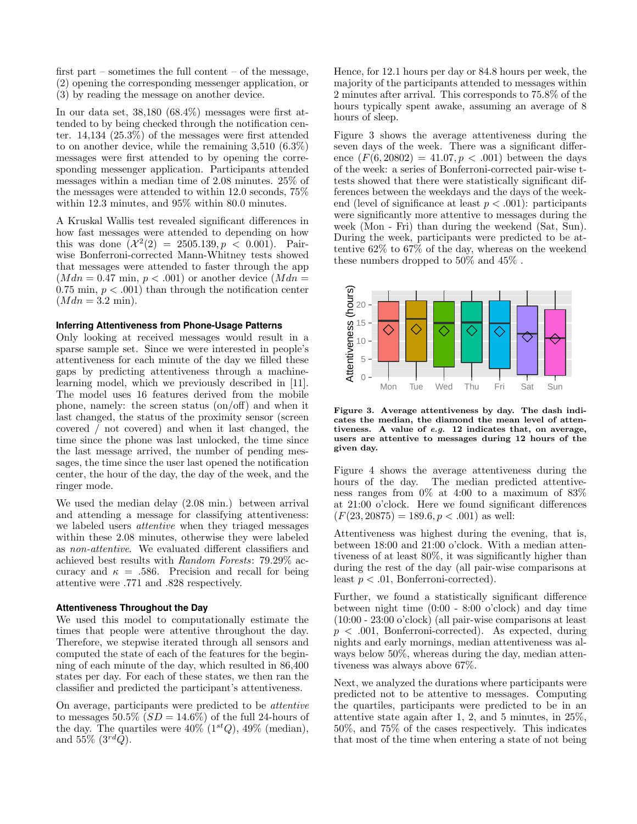first part – sometimes the full content – of the message, (2) opening the corresponding messenger application, or (3) by reading the message on another device.

In our data set, 38,180 (68.4%) messages were first attended to by being checked through the notification center. 14,134 (25.3%) of the messages were first attended to on another device, while the remaining 3,510 (6.3%) messages were first attended to by opening the corresponding messenger application. Participants attended messages within a median time of 2.08 minutes. 25% of the messages were attended to within 12.0 seconds, 75% within 12.3 minutes, and 95% within 80.0 minutes.

A Kruskal Wallis test revealed significant differences in how fast messages were attended to depending on how this was done  $(\mathcal{X}^2(2) = 2505.139, p < 0.001)$ . Pairwise Bonferroni-corrected Mann-Whitney tests showed that messages were attended to faster through the app  $(Mdn = 0.47 \text{ min}, p < .001)$  or another device  $(Mdn = )$ 0.75 min,  $p < .001$ ) than through the notification center  $(Mdn = 3.2 \text{ min}).$ 

### **Inferring Attentiveness from Phone-Usage Patterns**

Only looking at received messages would result in a sparse sample set. Since we were interested in people's attentiveness for each minute of the day we filled these gaps by predicting attentiveness through a machinelearning model, which we previously described in [\[11\]](#page-4-2). The model uses 16 features derived from the mobile phone, namely: the screen status (on/off) and when it last changed, the status of the proximity sensor (screen covered / not covered) and when it last changed, the time since the phone was last unlocked, the time since the last message arrived, the number of pending messages, the time since the user last opened the notification center, the hour of the day, the day of the week, and the ringer mode.

We used the median delay (2.08 min.) between arrival and attending a message for classifying attentiveness: we labeled users attentive when they triaged messages within these 2.08 minutes, otherwise they were labeled as non-attentive. We evaluated different classifiers and achieved best results with Random Forests: 79.29% accuracy and  $\kappa = .586$ . Precision and recall for being attentive were .771 and .828 respectively.

## **Attentiveness Throughout the Day**

We used this model to computationally estimate the times that people were attentive throughout the day. Therefore, we stepwise iterated through all sensors and computed the state of each of the features for the beginning of each minute of the day, which resulted in 86,400 states per day. For each of these states, we then ran the classifier and predicted the participant's attentiveness.

On average, participants were predicted to be attentive to messages 50.5%  $SD = 14.6\%$  of the full 24-hours of the day. The quartiles were  $40\%$  ( $1^{st}Q$ ),  $49\%$  (median), and 55\%  $(3^{rd}Q)$ .

Hence, for 12.1 hours per day or 84.8 hours per week, the majority of the participants attended to messages within 2 minutes after arrival. This corresponds to 75.8% of the hours typically spent awake, assuming an average of 8 hours of sleep.

Figure [3](#page-2-0) shows the average attentiveness during the seven days of the week. There was a significant difference  $(F(6, 20802) = 41.07, p < .001)$  between the days of the week: a series of Bonferroni-corrected pair-wise ttests showed that there were statistically significant differences between the weekdays and the days of the weekend (level of significance at least  $p < .001$ ): participants were significantly more attentive to messages during the week (Mon - Fri) than during the weekend (Sat, Sun). During the week, participants were predicted to be attentive 62% to 67% of the day, whereas on the weekend these numbers dropped to 50% and 45% .



<span id="page-2-0"></span>Figure 3. Average attentiveness by day. The dash indicates the median, the diamond the mean level of attentiveness. A value of e.g. 12 indicates that, on average, users are attentive to messages during 12 hours of the given day.

Figure [4](#page-3-0) shows the average attentiveness during the hours of the day. The median predicted attentiveness ranges from 0% at 4:00 to a maximum of 83% at 21:00 o'clock. Here we found significant differences  $(F(23, 20875) = 189.6, p < .001)$  as well:

Attentiveness was highest during the evening, that is, between 18:00 and 21:00 o'clock. With a median attentiveness of at least 80%, it was significantly higher than during the rest of the day (all pair-wise comparisons at least  $p < .01$ , Bonferroni-corrected).

Further, we found a statistically significant difference between night time (0:00 - 8:00 o'clock) and day time (10:00 - 23:00 o'clock) (all pair-wise comparisons at least  $p < .001$ , Bonferroni-corrected). As expected, during nights and early mornings, median attentiveness was always below 50%, whereas during the day, median attentiveness was always above 67%.

Next, we analyzed the durations where participants were predicted not to be attentive to messages. Computing the quartiles, participants were predicted to be in an attentive state again after 1, 2, and 5 minutes, in 25%, 50%, and 75% of the cases respectively. This indicates that most of the time when entering a state of not being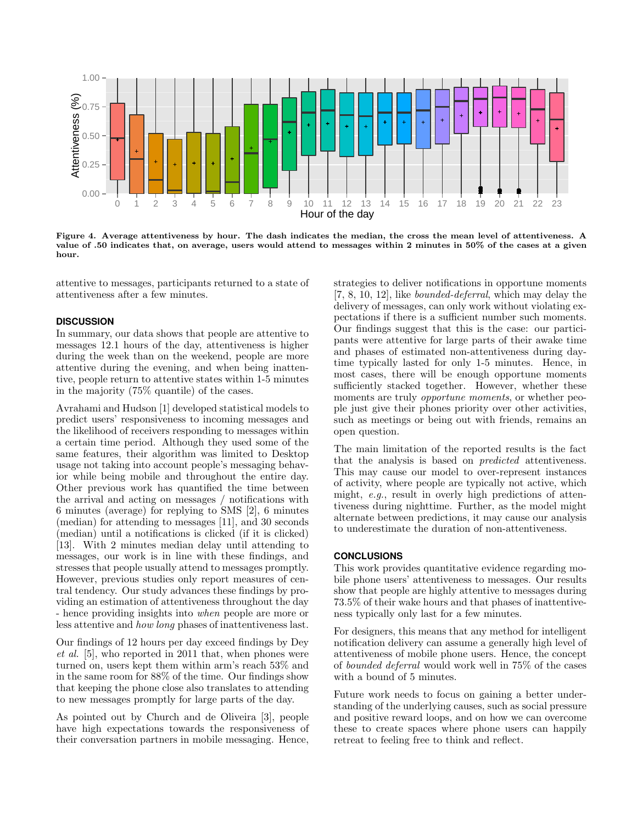

<span id="page-3-0"></span>Figure 4. Average attentiveness by hour. The dash indicates the median, the cross the mean level of attentiveness. A value of .50 indicates that, on average, users would attend to messages within 2 minutes in 50% of the cases at a given hour.

attentive to messages, participants returned to a state of attentiveness after a few minutes.

#### **DISCUSSION**

In summary, our data shows that people are attentive to messages 12.1 hours of the day, attentiveness is higher during the week than on the weekend, people are more attentive during the evening, and when being inattentive, people return to attentive states within 1-5 minutes in the majority (75% quantile) of the cases.

Avrahami and Hudson [\[1\]](#page-4-11) developed statistical models to predict users' responsiveness to incoming messages and the likelihood of receivers responding to messages within a certain time period. Although they used some of the same features, their algorithm was limited to Desktop usage not taking into account people's messaging behavior while being mobile and throughout the entire day. Other previous work has quantified the time between the arrival and acting on messages / notifications with 6 minutes (average) for replying to SMS [\[2\]](#page-4-3), 6 minutes (median) for attending to messages [\[11\]](#page-4-2), and 30 seconds (median) until a notifications is clicked (if it is clicked) [\[13\]](#page-4-4). With 2 minutes median delay until attending to messages, our work is in line with these findings, and stresses that people usually attend to messages promptly. However, previous studies only report measures of central tendency. Our study advances these findings by providing an estimation of attentiveness throughout the day - hence providing insights into when people are more or less attentive and how long phases of inattentiveness last.

Our findings of 12 hours per day exceed findings by Dey et al. [\[5\]](#page-4-12), who reported in 2011 that, when phones were turned on, users kept them within arm's reach 53% and in the same room for 88% of the time. Our findings show that keeping the phone close also translates to attending to new messages promptly for large parts of the day.

As pointed out by Church and de Oliveira [\[3\]](#page-4-1), people have high expectations towards the responsiveness of their conversation partners in mobile messaging. Hence, strategies to deliver notifications in opportune moments [\[7,](#page-4-7) [8,](#page-4-6) [10,](#page-4-9) [12\]](#page-4-10), like bounded-deferral, which may delay the delivery of messages, can only work without violating expectations if there is a sufficient number such moments. Our findings suggest that this is the case: our participants were attentive for large parts of their awake time and phases of estimated non-attentiveness during daytime typically lasted for only 1-5 minutes. Hence, in most cases, there will be enough opportune moments sufficiently stacked together. However, whether these moments are truly *opportune moments*, or whether people just give their phones priority over other activities, such as meetings or being out with friends, remains an open question.

The main limitation of the reported results is the fact that the analysis is based on predicted attentiveness. This may cause our model to over-represent instances of activity, where people are typically not active, which might, e.g., result in overly high predictions of attentiveness during nighttime. Further, as the model might alternate between predictions, it may cause our analysis to underestimate the duration of non-attentiveness.

## **CONCLUSIONS**

This work provides quantitative evidence regarding mobile phone users' attentiveness to messages. Our results show that people are highly attentive to messages during 73.5% of their wake hours and that phases of inattentiveness typically only last for a few minutes.

For designers, this means that any method for intelligent notification delivery can assume a generally high level of attentiveness of mobile phone users. Hence, the concept of bounded deferral would work well in 75% of the cases with a bound of 5 minutes.

Future work needs to focus on gaining a better understanding of the underlying causes, such as social pressure and positive reward loops, and on how we can overcome these to create spaces where phone users can happily retreat to feeling free to think and reflect.